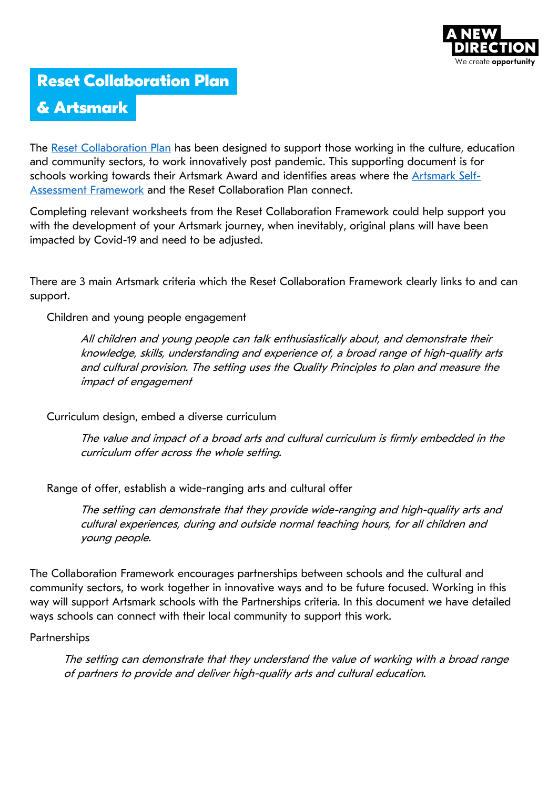

# **Reset Collaboration Plan**

# **& [Artsmark](http://c/Users/chloe.randall/Downloads/Reset-Collaboration-Plan-for-Children-and-Young-People-A-New-Direction-2020%20(2).pdf)**

[The Reset Collaboration](https://www.artsmark.org.uk/sites/default/files/media/Artsmark%20Self-Assessment%20framework%20Aug%202019.pdf) Plan has been designed to support those working in the culture, education and community sectors, to work innovatively post pandemic. This supporting document is for schools working towards their Artsmark Award and identifies areas where the [Artsmark Self-](https://www.artsmark.org.uk/sites/default/files/media/Artsmark%20Self-Assessment%20framework%20Aug%202019.pdf)[Assessment Framework](https://www.artsmark.org.uk/sites/default/files/media/Artsmark%20Self-Assessment%20framework%20Aug%202019.pdf) and the Reset Collaboration Plan connect.

Completing relevant worksheets from the Reset Collaboration Framework could help support you with the development of your Artsmark journey, when inevitably, original plans will have been impacted by Covid-19 and need to be adjusted.

There are 3 main Artsmark criteria which the Reset Collaboration Framework clearly links to and can support.

Children and young people engagement

All children and young people can talk enthusiastically about, and demonstrate their knowledge, skills, understanding and experience of, a broad range of high-quality arts and cultural provision. The setting uses the Quality Principles to plan and measure the impact of engagement

Curriculum design, embed a diverse curriculum

The value and impact of a broad arts and cultural curriculum is firmly embedded in the curriculum offer across the whole setting.

Range of offer, establish a wide-ranging arts and cultural offer

The setting can demonstrate that they provide wide-ranging and high-quality arts and cultural experiences, during and outside normal teaching hours, for all children and young people.

The Collaboration Framework encourages partnerships between schools and the cultural and community sectors, to work together in innovative ways and to be future focused. Working in this way will support Artsmark schools with the Partnerships criteria. In this document we have detailed ways schools can connect with their local community to support this work.

#### **Partnerships**

The setting can demonstrate that they understand the value of working with a broad range of partners to provide and deliver high-quality arts and cultural education.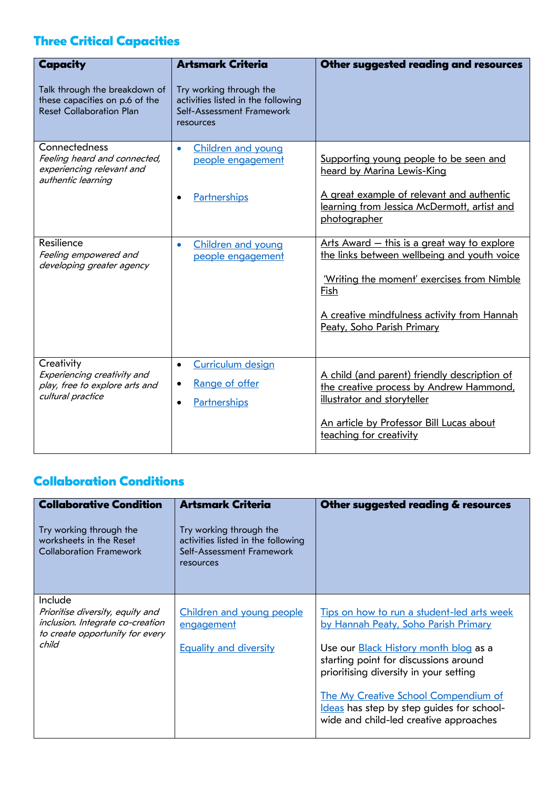## **Three Critical Capacities**

| Capacity<br>Talk through the breakdown of<br>these capacities on p.6 of the<br><b>Reset Collaboration Plan</b> | <b>Artsmark Criteria</b><br>Try working through the<br>activities listed in the following<br>Self-Assessment Framework<br>resources | Other suggested reading and resources                                                                                                                                                                                                |
|----------------------------------------------------------------------------------------------------------------|-------------------------------------------------------------------------------------------------------------------------------------|--------------------------------------------------------------------------------------------------------------------------------------------------------------------------------------------------------------------------------------|
| Connectedness<br>Feeling heard and connected,<br>experiencing relevant and<br>authentic learning               | Children and young<br>$\bullet$<br>people engagement<br>Partnerships                                                                | Supporting young people to be seen and<br>heard by Marina Lewis-King<br>A great example of relevant and authentic<br>learning from Jessica McDermott, artist and<br>photographer                                                     |
| Resilience<br>Feeling empowered and<br>developing greater agency                                               | Children and young<br>$\bullet$<br>people engagement                                                                                | <u>Arts Award – this is a great way to explore</u><br>the links between wellbeing and youth voice<br>'Writing the moment' exercises from Nimble<br>Fish<br>A creative mindfulness activity from Hannah<br>Peaty, Soho Parish Primary |
| Creativity<br>Experiencing creativity and<br>play, free to explore arts and<br>cultural practice               | <b>Curriculum design</b><br>$\bullet$<br>Range of offer<br>Partnerships<br>$\bullet$                                                | A child (and parent) friendly description of<br>the creative process by Andrew Hammond,<br>illustrator and storyteller<br>An article by Professor Bill Lucas about<br>teaching for creativity                                        |

## **Collaboration Conditions**

| <b>Collaborative Condition</b><br>Try working through the<br>worksheets in the Reset<br><b>Collaboration Framework</b>      | <b>Artsmark Criteria</b><br>Try working through the<br>activities listed in the following<br>Self-Assessment Framework<br>resources | Other suggested reading & resources                                                                                                                                                                                                                                                                                                                  |
|-----------------------------------------------------------------------------------------------------------------------------|-------------------------------------------------------------------------------------------------------------------------------------|------------------------------------------------------------------------------------------------------------------------------------------------------------------------------------------------------------------------------------------------------------------------------------------------------------------------------------------------------|
| Include<br>Prioritise diversity, equity and<br>inclusion. Integrate co-creation<br>to create opportunity for every<br>child | Children and young people<br>engagement<br><b>Equality and diversity</b>                                                            | Tips on how to run a student-led arts week<br>by Hannah Peaty, Soho Parish Primary<br>Use our <b>Black History</b> month blog as a<br>starting point for discussions around<br>prioritising diversity in your setting<br>The My Creative School Compendium of<br>Ideas has step by step guides for school-<br>wide and child-led creative approaches |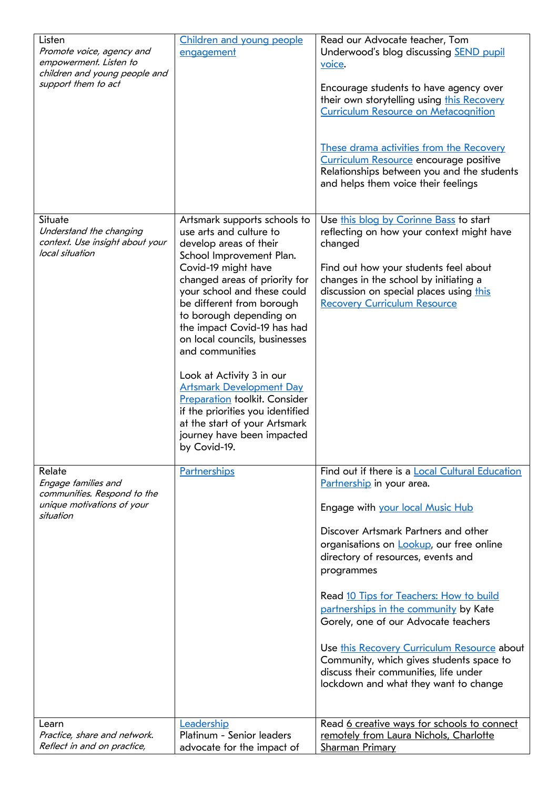| Listen<br>Promote voice, agency and<br>empowerment. Listen to<br>children and young people and<br>support them to act | Children and young people<br>engagement                                                                                                                                                                                                                                                                                                                                                                                                                                                                                                                                    | Read our Advocate teacher, Tom<br>Underwood's blog discussing <b>SEND</b> pupil<br>voice.<br>Encourage students to have agency over<br>their own storytelling using this Recovery<br><b>Curriculum Resource on Metacognition</b><br>These drama activities from the Recovery<br>Curriculum Resource encourage positive<br>Relationships between you and the students<br>and helps them voice their feelings                                                                                                                                                       |
|-----------------------------------------------------------------------------------------------------------------------|----------------------------------------------------------------------------------------------------------------------------------------------------------------------------------------------------------------------------------------------------------------------------------------------------------------------------------------------------------------------------------------------------------------------------------------------------------------------------------------------------------------------------------------------------------------------------|-------------------------------------------------------------------------------------------------------------------------------------------------------------------------------------------------------------------------------------------------------------------------------------------------------------------------------------------------------------------------------------------------------------------------------------------------------------------------------------------------------------------------------------------------------------------|
| Situate<br>Understand the changing<br>context. Use insight about your<br>local situation                              | Artsmark supports schools to<br>use arts and culture to<br>develop areas of their<br>School Improvement Plan.<br>Covid-19 might have<br>changed areas of priority for<br>your school and these could<br>be different from borough<br>to borough depending on<br>the impact Covid-19 has had<br>on local councils, businesses<br>and communities<br>Look at Activity 3 in our<br><b>Artsmark Development Day</b><br><b>Preparation</b> toolkit. Consider<br>if the priorities you identified<br>at the start of your Artsmark<br>journey have been impacted<br>by Covid-19. | Use this blog by Corinne Bass to start<br>reflecting on how your context might have<br>changed<br>Find out how your students feel about<br>changes in the school by initiating a<br>discussion on special places using this<br><b>Recovery Curriculum Resource</b>                                                                                                                                                                                                                                                                                                |
| Relate<br>Engage families and<br>communities. Respond to the<br>unique motivations of your<br>situation               | <b>Partnerships</b>                                                                                                                                                                                                                                                                                                                                                                                                                                                                                                                                                        | Find out if there is a Local Cultural Education<br>Partnership in your area.<br>Engage with your local Music Hub<br>Discover Artsmark Partners and other<br>organisations on Lookup, our free online<br>directory of resources, events and<br>programmes<br>Read 10 Tips for Teachers: How to build<br>partnerships in the community by Kate<br>Gorely, one of our Advocate teachers<br>Use this Recovery Curriculum Resource about<br>Community, which gives students space to<br>discuss their communities, life under<br>lockdown and what they want to change |
| Learn<br>Practice, share and network.<br>Reflect in and on practice,                                                  | Leadership<br>Platinum - Senior leaders<br>advocate for the impact of                                                                                                                                                                                                                                                                                                                                                                                                                                                                                                      | Read 6 creative ways for schools to connect<br>remotely from Laura Nichols, Charlotte<br><b>Sharman Primary</b>                                                                                                                                                                                                                                                                                                                                                                                                                                                   |